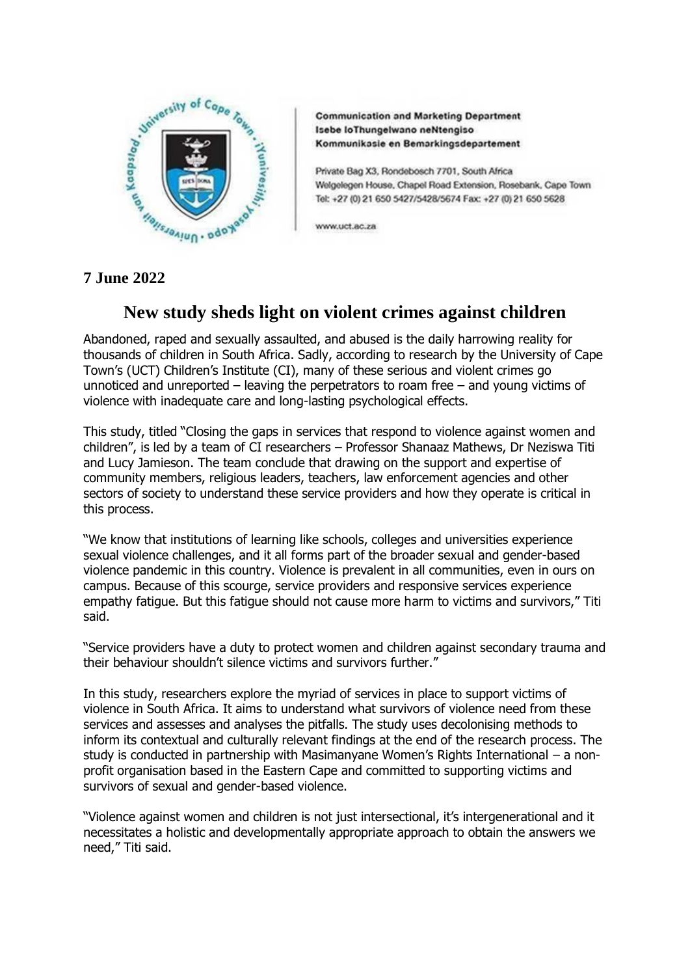

**Communication and Marketing Department** Isebe loThungelwano neNtengiso Kommunikasie en Bemarkingsdepartement

Private Bag X3, Rondebosch 7701, South Africa Welgelegen House, Chapel Road Extension, Rosebank, Cape Town Tel: +27 (0) 21 650 5427/5428/5674 Fax: +27 (0) 21 650 5628

www.uct.ac.za

## **New study sheds light on violent crimes against children**

Abandoned, raped and sexually assaulted, and abused is the daily harrowing reality for thousands of children in South Africa. Sadly, according to research by the University of Cape Town's (UCT) Children's Institute (CI), many of these serious and violent crimes go unnoticed and unreported – leaving the perpetrators to roam free – and young victims of violence with inadequate care and long-lasting psychological effects.

This study, titled "Closing the gaps in services that respond to violence against women and children", is led by a team of CI researchers – Professor Shanaaz Mathews, Dr Neziswa Titi and Lucy Jamieson. The team conclude that drawing on the support and expertise of community members, religious leaders, teachers, law enforcement agencies and other sectors of society to understand these service providers and how they operate is critical in this process.

"We know that institutions of learning like schools, colleges and universities experience sexual violence challenges, and it all forms part of the broader sexual and gender-based violence pandemic in this country. Violence is prevalent in all communities, even in ours on campus. Because of this scourge, service providers and responsive services experience empathy fatigue. But this fatigue should not cause more harm to victims and survivors," Titi said.

"Service providers have a duty to protect women and children against secondary trauma and their behaviour shouldn't silence victims and survivors further."

In this study, researchers explore the myriad of services in place to support victims of violence in South Africa. It aims to understand what survivors of violence need from these services and assesses and analyses the pitfalls. The study uses decolonising methods to inform its contextual and culturally relevant findings at the end of the research process. The study is conducted in partnership with Masimanyane Women's Rights International – a nonprofit organisation based in the Eastern Cape and committed to supporting victims and survivors of sexual and gender-based violence.

"Violence against women and children is not just intersectional, it's intergenerational and it necessitates a holistic and developmentally appropriate approach to obtain the answers we need," Titi said.